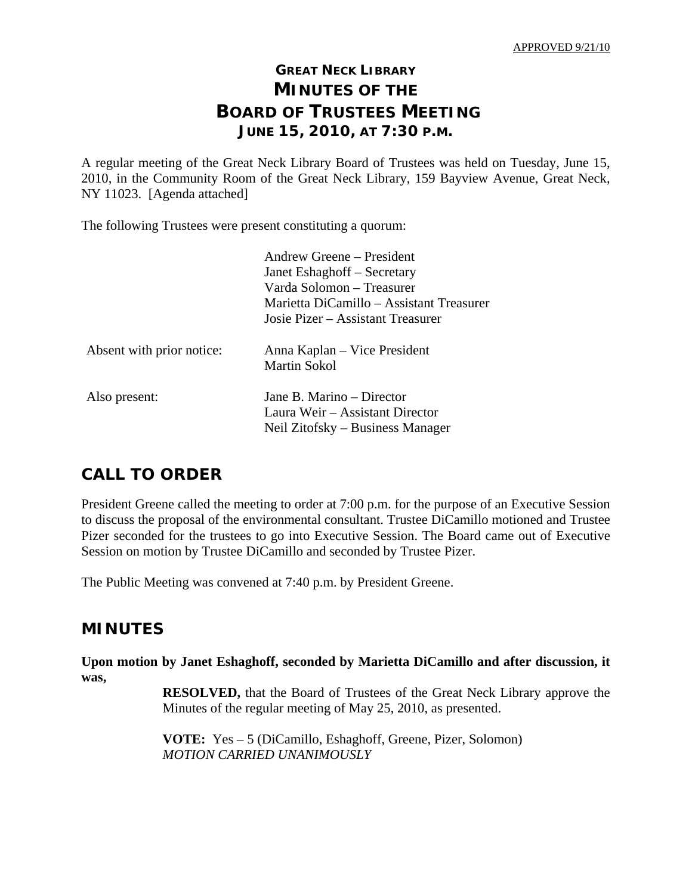# **GREAT NECK LIBRARY MINUTES OF THE BOARD OF TRUSTEES MEETING JUNE 15, 2010, AT 7:30 P.M.**

A regular meeting of the Great Neck Library Board of Trustees was held on Tuesday, June 15, 2010, in the Community Room of the Great Neck Library, 159 Bayview Avenue, Great Neck, NY 11023. [Agenda attached]

The following Trustees were present constituting a quorum:

|                           | Andrew Greene – President<br>Janet Eshaghoff – Secretary<br>Varda Solomon – Treasurer<br>Marietta DiCamillo – Assistant Treasurer |
|---------------------------|-----------------------------------------------------------------------------------------------------------------------------------|
|                           | Josie Pizer – Assistant Treasurer                                                                                                 |
| Absent with prior notice: | Anna Kaplan – Vice President<br>Martin Sokol                                                                                      |
| Also present:             | Jane B. Marino – Director<br>Laura Weir – Assistant Director<br>Neil Zitofsky – Business Manager                                  |

# **CALL TO ORDER**

President Greene called the meeting to order at 7:00 p.m. for the purpose of an Executive Session to discuss the proposal of the environmental consultant. Trustee DiCamillo motioned and Trustee Pizer seconded for the trustees to go into Executive Session. The Board came out of Executive Session on motion by Trustee DiCamillo and seconded by Trustee Pizer.

The Public Meeting was convened at 7:40 p.m. by President Greene.

# **MINUTES**

**Upon motion by Janet Eshaghoff, seconded by Marietta DiCamillo and after discussion, it was,** 

> **RESOLVED,** that the Board of Trustees of the Great Neck Library approve the Minutes of the regular meeting of May 25, 2010, as presented.

 **VOTE:** Yes – 5 (DiCamillo, Eshaghoff, Greene, Pizer, Solomon)  *MOTION CARRIED UNANIMOUSLY*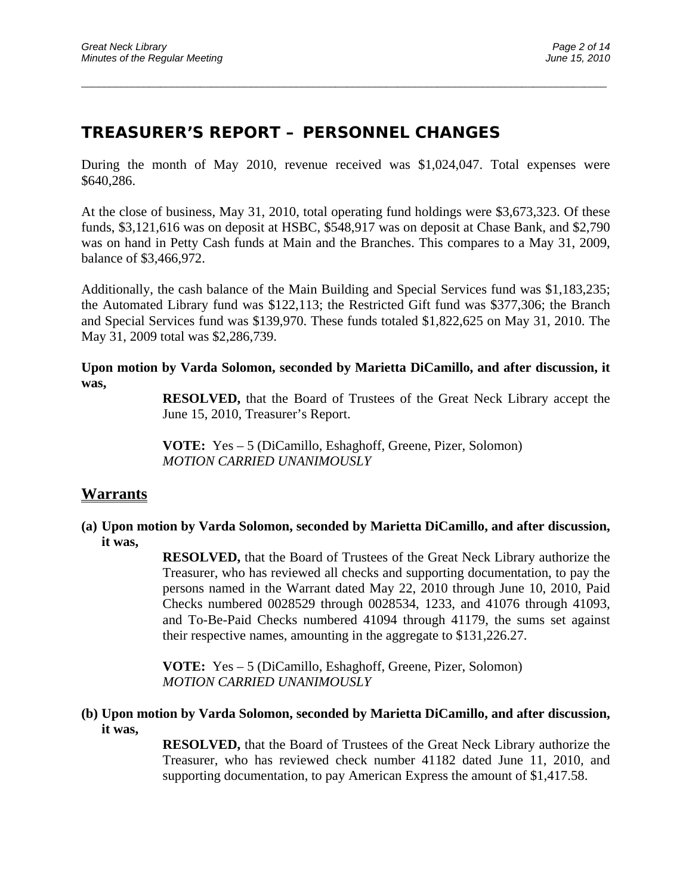# **TREASURER'S REPORT – PERSONNEL CHANGES**

During the month of May 2010, revenue received was \$1,024,047. Total expenses were \$640,286.

 $\overline{a}$  , and the contribution of the contribution of the contribution of the contribution of the contribution of the contribution of the contribution of the contribution of the contribution of the contribution of the co

At the close of business, May 31, 2010, total operating fund holdings were \$3,673,323. Of these funds, \$3,121,616 was on deposit at HSBC, \$548,917 was on deposit at Chase Bank, and \$2,790 was on hand in Petty Cash funds at Main and the Branches. This compares to a May 31, 2009, balance of \$3,466,972.

Additionally, the cash balance of the Main Building and Special Services fund was \$1,183,235; the Automated Library fund was \$122,113; the Restricted Gift fund was \$377,306; the Branch and Special Services fund was \$139,970. These funds totaled \$1,822,625 on May 31, 2010. The May 31, 2009 total was \$2,286,739.

**Upon motion by Varda Solomon, seconded by Marietta DiCamillo, and after discussion, it was,** 

> **RESOLVED,** that the Board of Trustees of the Great Neck Library accept the June 15, 2010, Treasurer's Report.

 **VOTE:** Yes – 5 (DiCamillo, Eshaghoff, Greene, Pizer, Solomon)  *MOTION CARRIED UNANIMOUSLY* 

## **Warrants**

**(a) Upon motion by Varda Solomon, seconded by Marietta DiCamillo, and after discussion, it was,** 

> **RESOLVED,** that the Board of Trustees of the Great Neck Library authorize the Treasurer, who has reviewed all checks and supporting documentation, to pay the persons named in the Warrant dated May 22, 2010 through June 10, 2010, Paid Checks numbered 0028529 through 0028534, 1233, and 41076 through 41093, and To-Be-Paid Checks numbered 41094 through 41179, the sums set against their respective names, amounting in the aggregate to \$131,226.27.

 **VOTE:** Yes – 5 (DiCamillo, Eshaghoff, Greene, Pizer, Solomon)  *MOTION CARRIED UNANIMOUSLY* 

**(b) Upon motion by Varda Solomon, seconded by Marietta DiCamillo, and after discussion, it was,** 

> **RESOLVED,** that the Board of Trustees of the Great Neck Library authorize the Treasurer, who has reviewed check number 41182 dated June 11, 2010, and supporting documentation, to pay American Express the amount of \$1,417.58.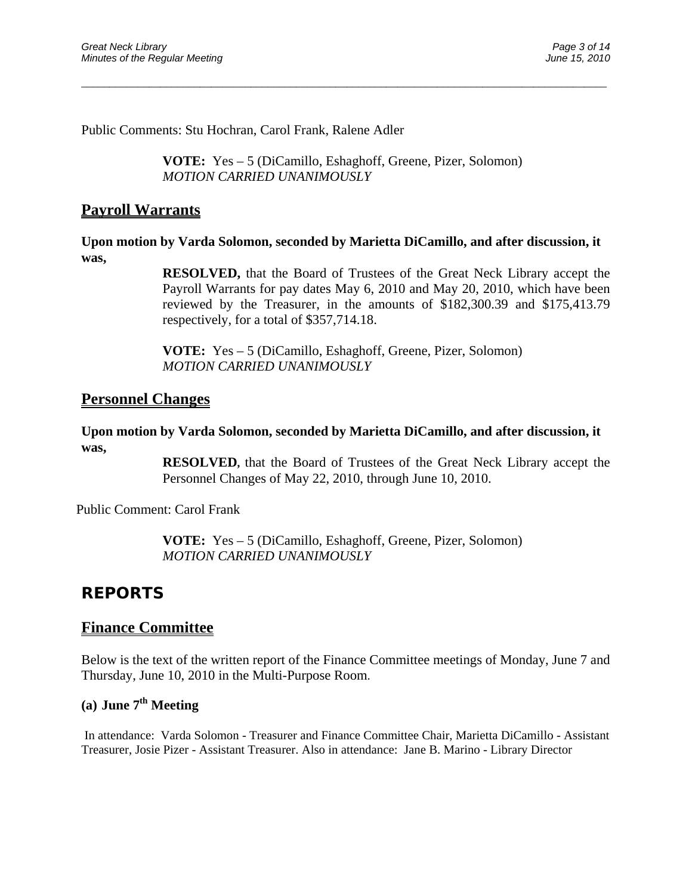Public Comments: Stu Hochran, Carol Frank, Ralene Adler

**VOTE:** Yes – 5 (DiCamillo, Eshaghoff, Greene, Pizer, Solomon) *MOTION CARRIED UNANIMOUSLY* 

 $\overline{a}$  , and the contribution of the contribution of the contribution of the contribution of the contribution of the contribution of the contribution of the contribution of the contribution of the contribution of the co

## **Payroll Warrants**

**Upon motion by Varda Solomon, seconded by Marietta DiCamillo, and after discussion, it was,** 

> **RESOLVED,** that the Board of Trustees of the Great Neck Library accept the Payroll Warrants for pay dates May 6, 2010 and May 20, 2010, which have been reviewed by the Treasurer, in the amounts of \$182,300.39 and \$175,413.79 respectively, for a total of \$357,714.18.

**VOTE:** Yes – 5 (DiCamillo, Eshaghoff, Greene, Pizer, Solomon) *MOTION CARRIED UNANIMOUSLY* 

### **Personnel Changes**

### **Upon motion by Varda Solomon, seconded by Marietta DiCamillo, and after discussion, it was,**

**RESOLVED,** that the Board of Trustees of the Great Neck Library accept the Personnel Changes of May 22, 2010, through June 10, 2010.

Public Comment: Carol Frank

**VOTE:** Yes – 5 (DiCamillo, Eshaghoff, Greene, Pizer, Solomon) *MOTION CARRIED UNANIMOUSLY* 

# **REPORTS**

### **Finance Committee**

Below is the text of the written report of the Finance Committee meetings of Monday, June 7 and Thursday, June 10, 2010 in the Multi-Purpose Room.

## **(a) June 7th Meeting**

In attendance: Varda Solomon - Treasurer and Finance Committee Chair, Marietta DiCamillo - Assistant Treasurer, Josie Pizer - Assistant Treasurer. Also in attendance: Jane B. Marino - Library Director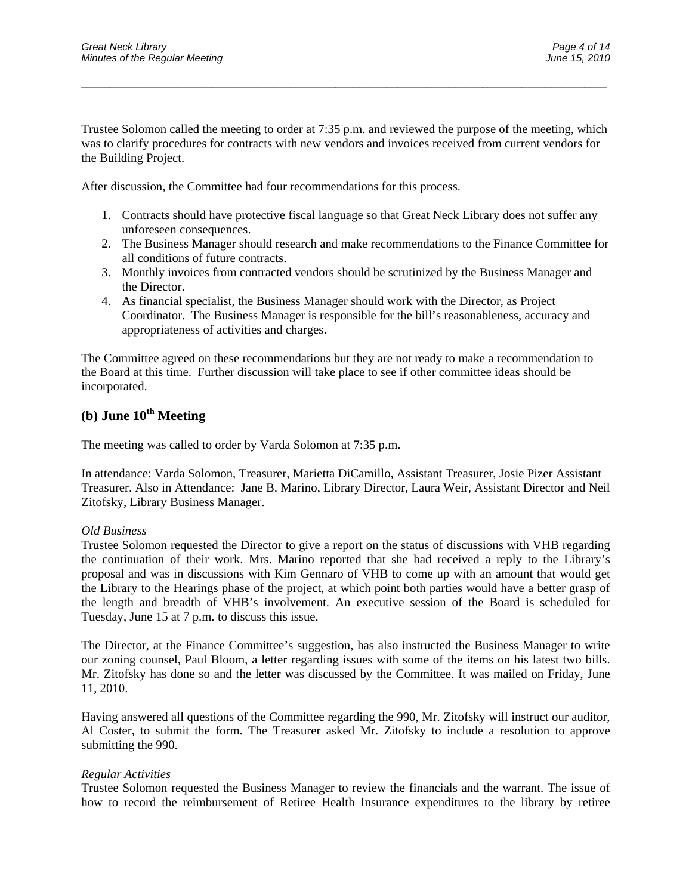Trustee Solomon called the meeting to order at 7:35 p.m. and reviewed the purpose of the meeting, which was to clarify procedures for contracts with new vendors and invoices received from current vendors for the Building Project.

 $\overline{a}$  , and the contribution of the contribution of the contribution of the contribution of the contribution of the contribution of the contribution of the contribution of the contribution of the contribution of the co

After discussion, the Committee had four recommendations for this process.

- 1. Contracts should have protective fiscal language so that Great Neck Library does not suffer any unforeseen consequences.
- 2. The Business Manager should research and make recommendations to the Finance Committee for all conditions of future contracts.
- 3. Monthly invoices from contracted vendors should be scrutinized by the Business Manager and the Director.
- 4. As financial specialist, the Business Manager should work with the Director, as Project Coordinator. The Business Manager is responsible for the bill's reasonableness, accuracy and appropriateness of activities and charges.

The Committee agreed on these recommendations but they are not ready to make a recommendation to the Board at this time. Further discussion will take place to see if other committee ideas should be incorporated.

## **(b) June 10<sup>th</sup> Meeting**

The meeting was called to order by Varda Solomon at 7:35 p.m.

In attendance: Varda Solomon, Treasurer, Marietta DiCamillo, Assistant Treasurer, Josie Pizer Assistant Treasurer. Also in Attendance: Jane B. Marino, Library Director, Laura Weir, Assistant Director and Neil Zitofsky, Library Business Manager.

#### *Old Business*

Trustee Solomon requested the Director to give a report on the status of discussions with VHB regarding the continuation of their work. Mrs. Marino reported that she had received a reply to the Library's proposal and was in discussions with Kim Gennaro of VHB to come up with an amount that would get the Library to the Hearings phase of the project, at which point both parties would have a better grasp of the length and breadth of VHB's involvement. An executive session of the Board is scheduled for Tuesday, June 15 at 7 p.m. to discuss this issue.

The Director, at the Finance Committee's suggestion, has also instructed the Business Manager to write our zoning counsel, Paul Bloom, a letter regarding issues with some of the items on his latest two bills. Mr. Zitofsky has done so and the letter was discussed by the Committee. It was mailed on Friday, June 11, 2010.

Having answered all questions of the Committee regarding the 990, Mr. Zitofsky will instruct our auditor, Al Coster, to submit the form. The Treasurer asked Mr. Zitofsky to include a resolution to approve submitting the 990.

#### *Regular Activities*

Trustee Solomon requested the Business Manager to review the financials and the warrant. The issue of how to record the reimbursement of Retiree Health Insurance expenditures to the library by retiree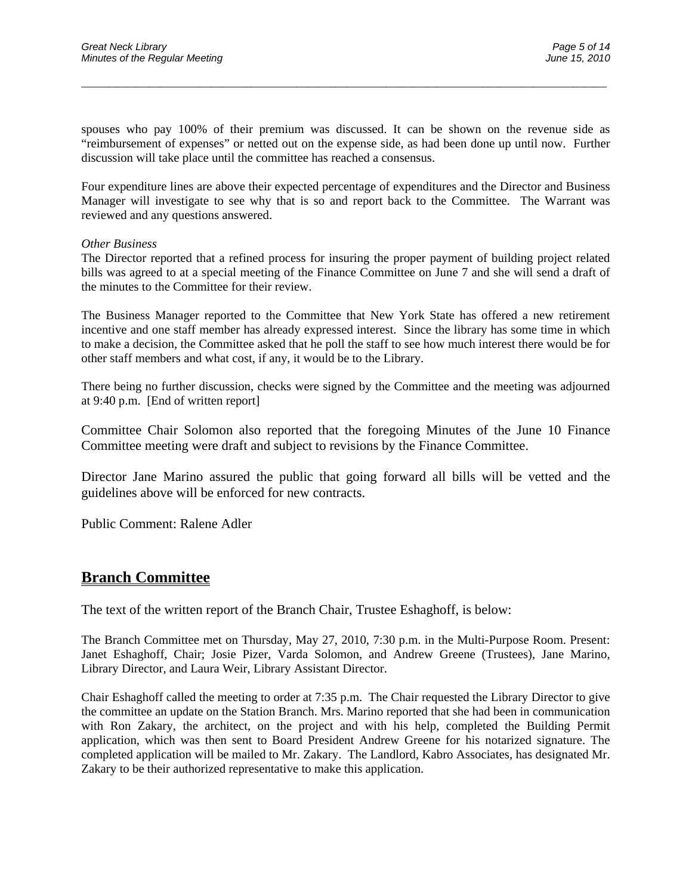spouses who pay 100% of their premium was discussed. It can be shown on the revenue side as "reimbursement of expenses" or netted out on the expense side, as had been done up until now. Further discussion will take place until the committee has reached a consensus.

 $\overline{a}$  , and the contribution of the contribution of the contribution of the contribution of the contribution of the contribution of the contribution of the contribution of the contribution of the contribution of the co

Four expenditure lines are above their expected percentage of expenditures and the Director and Business Manager will investigate to see why that is so and report back to the Committee. The Warrant was reviewed and any questions answered.

#### *Other Business*

The Director reported that a refined process for insuring the proper payment of building project related bills was agreed to at a special meeting of the Finance Committee on June 7 and she will send a draft of the minutes to the Committee for their review.

The Business Manager reported to the Committee that New York State has offered a new retirement incentive and one staff member has already expressed interest. Since the library has some time in which to make a decision, the Committee asked that he poll the staff to see how much interest there would be for other staff members and what cost, if any, it would be to the Library.

There being no further discussion, checks were signed by the Committee and the meeting was adjourned at 9:40 p.m. [End of written report]

Committee Chair Solomon also reported that the foregoing Minutes of the June 10 Finance Committee meeting were draft and subject to revisions by the Finance Committee.

Director Jane Marino assured the public that going forward all bills will be vetted and the guidelines above will be enforced for new contracts.

Public Comment: Ralene Adler

### **Branch Committee**

The text of the written report of the Branch Chair, Trustee Eshaghoff, is below:

The Branch Committee met on Thursday, May 27, 2010, 7:30 p.m. in the Multi-Purpose Room. Present: Janet Eshaghoff, Chair; Josie Pizer, Varda Solomon, and Andrew Greene (Trustees), Jane Marino, Library Director, and Laura Weir, Library Assistant Director.

Chair Eshaghoff called the meeting to order at 7:35 p.m. The Chair requested the Library Director to give the committee an update on the Station Branch. Mrs. Marino reported that she had been in communication with Ron Zakary, the architect, on the project and with his help, completed the Building Permit application, which was then sent to Board President Andrew Greene for his notarized signature. The completed application will be mailed to Mr. Zakary. The Landlord, Kabro Associates, has designated Mr. Zakary to be their authorized representative to make this application.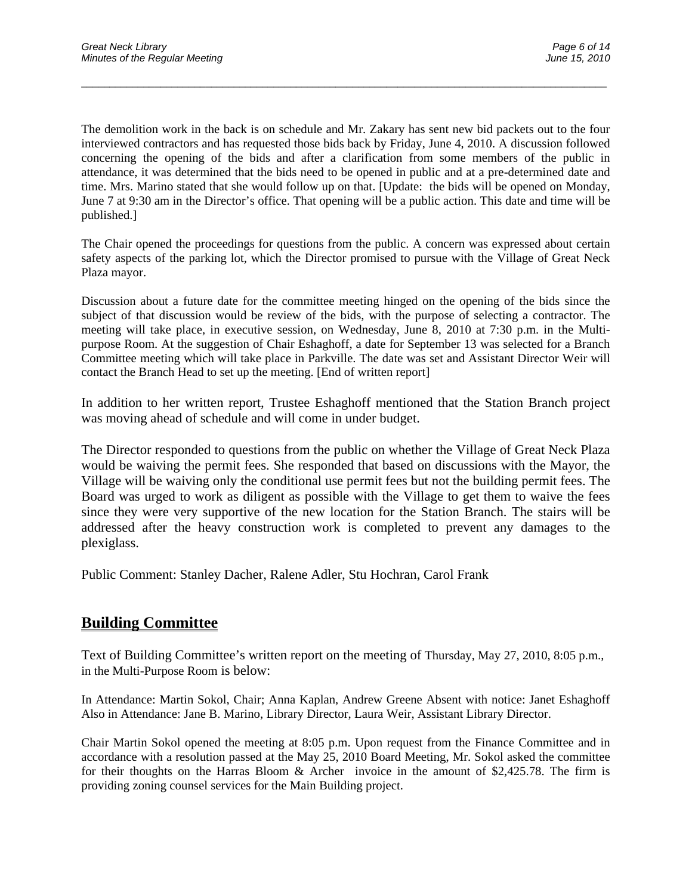The demolition work in the back is on schedule and Mr. Zakary has sent new bid packets out to the four interviewed contractors and has requested those bids back by Friday, June 4, 2010. A discussion followed concerning the opening of the bids and after a clarification from some members of the public in attendance, it was determined that the bids need to be opened in public and at a pre-determined date and time. Mrs. Marino stated that she would follow up on that. [Update: the bids will be opened on Monday, June 7 at 9:30 am in the Director's office. That opening will be a public action. This date and time will be published.]

 $\overline{a}$  , and the contribution of the contribution of the contribution of the contribution of the contribution of the contribution of the contribution of the contribution of the contribution of the contribution of the co

The Chair opened the proceedings for questions from the public. A concern was expressed about certain safety aspects of the parking lot, which the Director promised to pursue with the Village of Great Neck Plaza mayor.

Discussion about a future date for the committee meeting hinged on the opening of the bids since the subject of that discussion would be review of the bids, with the purpose of selecting a contractor. The meeting will take place, in executive session, on Wednesday, June 8, 2010 at 7:30 p.m. in the Multipurpose Room. At the suggestion of Chair Eshaghoff, a date for September 13 was selected for a Branch Committee meeting which will take place in Parkville. The date was set and Assistant Director Weir will contact the Branch Head to set up the meeting. [End of written report]

In addition to her written report, Trustee Eshaghoff mentioned that the Station Branch project was moving ahead of schedule and will come in under budget.

The Director responded to questions from the public on whether the Village of Great Neck Plaza would be waiving the permit fees. She responded that based on discussions with the Mayor, the Village will be waiving only the conditional use permit fees but not the building permit fees. The Board was urged to work as diligent as possible with the Village to get them to waive the fees since they were very supportive of the new location for the Station Branch. The stairs will be addressed after the heavy construction work is completed to prevent any damages to the plexiglass.

Public Comment: Stanley Dacher, Ralene Adler, Stu Hochran, Carol Frank

### **Building Committee**

Text of Building Committee's written report on the meeting of Thursday, May 27, 2010, 8:05 p.m., in the Multi-Purpose Room is below:

In Attendance: Martin Sokol, Chair; Anna Kaplan, Andrew Greene Absent with notice: Janet Eshaghoff Also in Attendance: Jane B. Marino, Library Director, Laura Weir, Assistant Library Director.

Chair Martin Sokol opened the meeting at 8:05 p.m. Upon request from the Finance Committee and in accordance with a resolution passed at the May 25, 2010 Board Meeting, Mr. Sokol asked the committee for their thoughts on the Harras Bloom & Archer invoice in the amount of \$2,425.78. The firm is providing zoning counsel services for the Main Building project.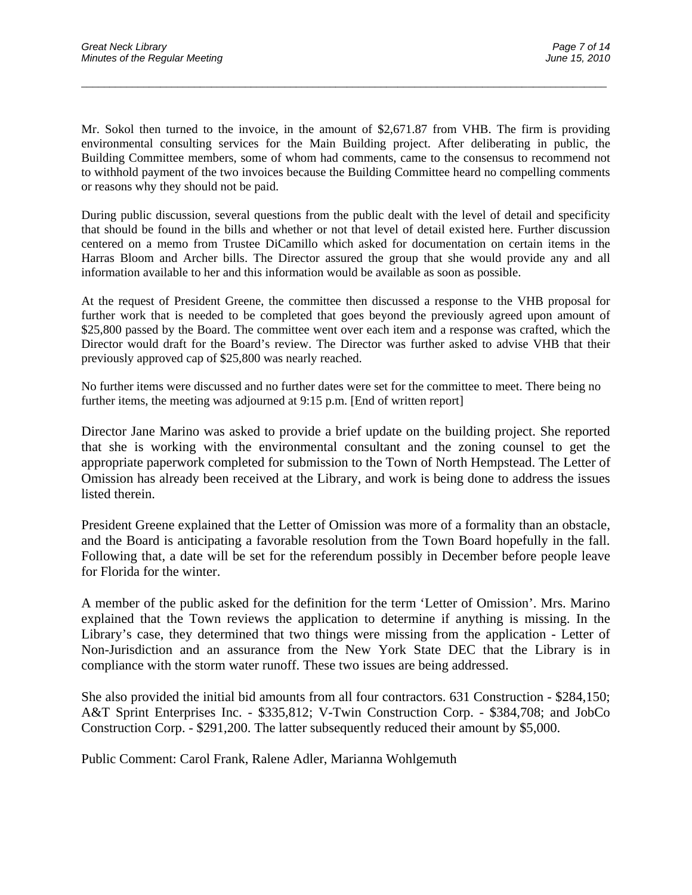Mr. Sokol then turned to the invoice, in the amount of \$2,671.87 from VHB. The firm is providing environmental consulting services for the Main Building project. After deliberating in public, the Building Committee members, some of whom had comments, came to the consensus to recommend not to withhold payment of the two invoices because the Building Committee heard no compelling comments or reasons why they should not be paid.

 $\overline{a}$  , and the contribution of the contribution of the contribution of the contribution of the contribution of the contribution of the contribution of the contribution of the contribution of the contribution of the co

During public discussion, several questions from the public dealt with the level of detail and specificity that should be found in the bills and whether or not that level of detail existed here. Further discussion centered on a memo from Trustee DiCamillo which asked for documentation on certain items in the Harras Bloom and Archer bills. The Director assured the group that she would provide any and all information available to her and this information would be available as soon as possible.

At the request of President Greene, the committee then discussed a response to the VHB proposal for further work that is needed to be completed that goes beyond the previously agreed upon amount of \$25,800 passed by the Board. The committee went over each item and a response was crafted, which the Director would draft for the Board's review. The Director was further asked to advise VHB that their previously approved cap of \$25,800 was nearly reached.

No further items were discussed and no further dates were set for the committee to meet. There being no further items, the meeting was adjourned at 9:15 p.m. [End of written report]

Director Jane Marino was asked to provide a brief update on the building project. She reported that she is working with the environmental consultant and the zoning counsel to get the appropriate paperwork completed for submission to the Town of North Hempstead. The Letter of Omission has already been received at the Library, and work is being done to address the issues listed therein.

President Greene explained that the Letter of Omission was more of a formality than an obstacle, and the Board is anticipating a favorable resolution from the Town Board hopefully in the fall. Following that, a date will be set for the referendum possibly in December before people leave for Florida for the winter.

A member of the public asked for the definition for the term 'Letter of Omission'. Mrs. Marino explained that the Town reviews the application to determine if anything is missing. In the Library's case, they determined that two things were missing from the application - Letter of Non-Jurisdiction and an assurance from the New York State DEC that the Library is in compliance with the storm water runoff. These two issues are being addressed.

She also provided the initial bid amounts from all four contractors. 631 Construction - \$284,150; A&T Sprint Enterprises Inc. - \$335,812; V-Twin Construction Corp. - \$384,708; and JobCo Construction Corp. - \$291,200. The latter subsequently reduced their amount by \$5,000.

Public Comment: Carol Frank, Ralene Adler, Marianna Wohlgemuth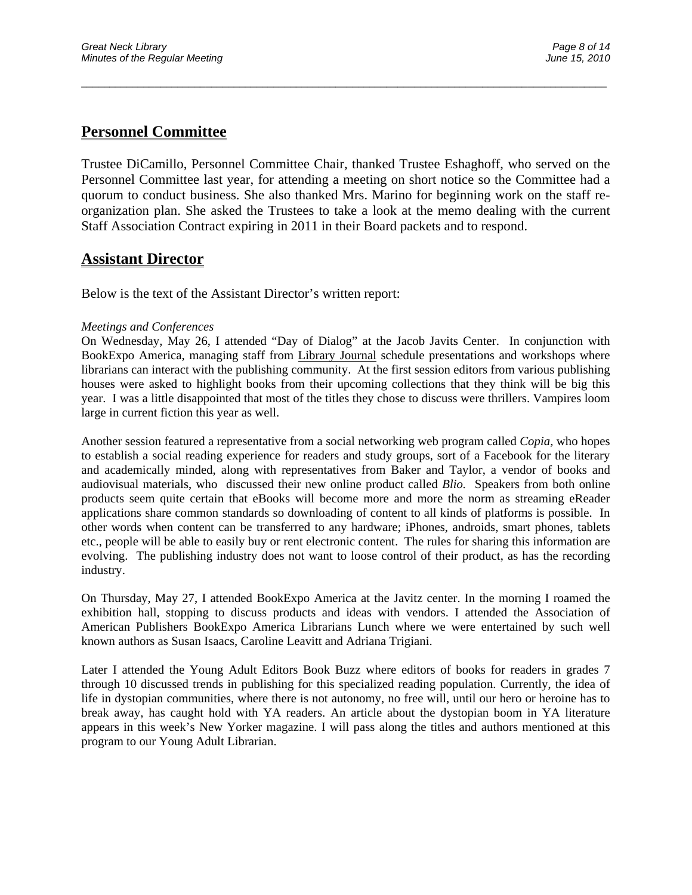## **Personnel Committee**

Trustee DiCamillo, Personnel Committee Chair, thanked Trustee Eshaghoff, who served on the Personnel Committee last year, for attending a meeting on short notice so the Committee had a quorum to conduct business. She also thanked Mrs. Marino for beginning work on the staff reorganization plan. She asked the Trustees to take a look at the memo dealing with the current Staff Association Contract expiring in 2011 in their Board packets and to respond.

 $\overline{a}$  , and the contribution of the contribution of the contribution of the contribution of the contribution of the contribution of the contribution of the contribution of the contribution of the contribution of the co

## **Assistant Director**

Below is the text of the Assistant Director's written report:

### *Meetings and Conferences*

On Wednesday, May 26, I attended "Day of Dialog" at the Jacob Javits Center. In conjunction with BookExpo America, managing staff from Library Journal schedule presentations and workshops where librarians can interact with the publishing community. At the first session editors from various publishing houses were asked to highlight books from their upcoming collections that they think will be big this year. I was a little disappointed that most of the titles they chose to discuss were thrillers. Vampires loom large in current fiction this year as well.

Another session featured a representative from a social networking web program called *Copia,* who hopes to establish a social reading experience for readers and study groups, sort of a Facebook for the literary and academically minded, along with representatives from Baker and Taylor, a vendor of books and audiovisual materials, who discussed their new online product called *Blio.* Speakers from both online products seem quite certain that eBooks will become more and more the norm as streaming eReader applications share common standards so downloading of content to all kinds of platforms is possible. In other words when content can be transferred to any hardware; iPhones, androids, smart phones, tablets etc., people will be able to easily buy or rent electronic content. The rules for sharing this information are evolving. The publishing industry does not want to loose control of their product, as has the recording industry.

On Thursday, May 27, I attended BookExpo America at the Javitz center. In the morning I roamed the exhibition hall, stopping to discuss products and ideas with vendors. I attended the Association of American Publishers BookExpo America Librarians Lunch where we were entertained by such well known authors as Susan Isaacs, Caroline Leavitt and Adriana Trigiani.

Later I attended the Young Adult Editors Book Buzz where editors of books for readers in grades 7 through 10 discussed trends in publishing for this specialized reading population. Currently, the idea of life in dystopian communities, where there is not autonomy, no free will, until our hero or heroine has to break away, has caught hold with YA readers. An article about the dystopian boom in YA literature appears in this week's New Yorker magazine. I will pass along the titles and authors mentioned at this program to our Young Adult Librarian.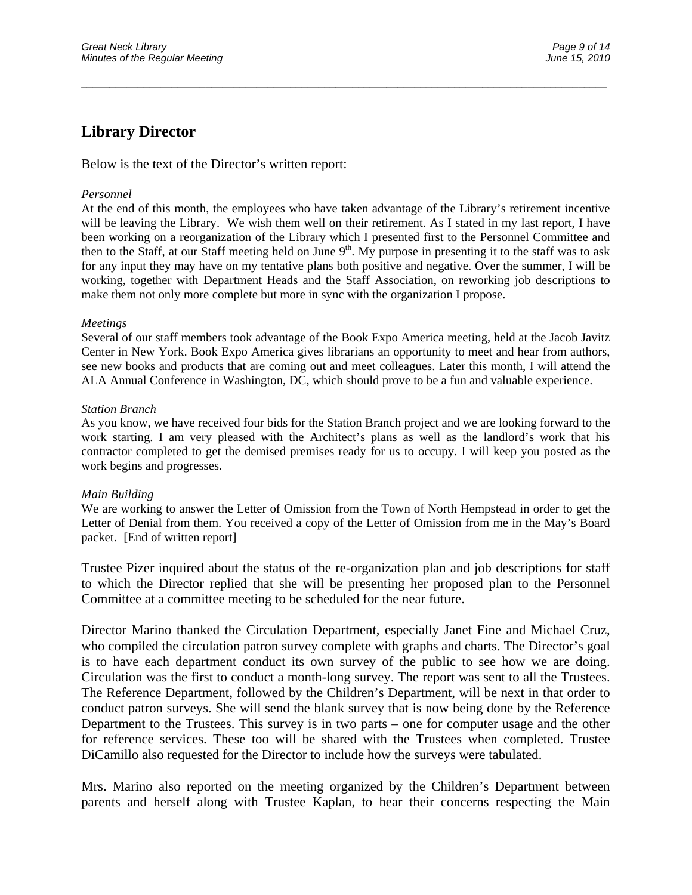## **Library Director**

Below is the text of the Director's written report:

#### *Personnel*

At the end of this month, the employees who have taken advantage of the Library's retirement incentive will be leaving the Library. We wish them well on their retirement. As I stated in my last report, I have been working on a reorganization of the Library which I presented first to the Personnel Committee and then to the Staff, at our Staff meeting held on June  $9<sup>th</sup>$ . My purpose in presenting it to the staff was to ask for any input they may have on my tentative plans both positive and negative. Over the summer, I will be working, together with Department Heads and the Staff Association, on reworking job descriptions to make them not only more complete but more in sync with the organization I propose.

 $\overline{a}$  , and the contribution of the contribution of the contribution of the contribution of the contribution of the contribution of the contribution of the contribution of the contribution of the contribution of the co

#### *Meetings*

Several of our staff members took advantage of the Book Expo America meeting, held at the Jacob Javitz Center in New York. Book Expo America gives librarians an opportunity to meet and hear from authors, see new books and products that are coming out and meet colleagues. Later this month, I will attend the ALA Annual Conference in Washington, DC, which should prove to be a fun and valuable experience.

#### *Station Branch*

As you know, we have received four bids for the Station Branch project and we are looking forward to the work starting. I am very pleased with the Architect's plans as well as the landlord's work that his contractor completed to get the demised premises ready for us to occupy. I will keep you posted as the work begins and progresses.

#### *Main Building*

We are working to answer the Letter of Omission from the Town of North Hempstead in order to get the Letter of Denial from them. You received a copy of the Letter of Omission from me in the May's Board packet. [End of written report]

Trustee Pizer inquired about the status of the re-organization plan and job descriptions for staff to which the Director replied that she will be presenting her proposed plan to the Personnel Committee at a committee meeting to be scheduled for the near future.

Director Marino thanked the Circulation Department, especially Janet Fine and Michael Cruz, who compiled the circulation patron survey complete with graphs and charts. The Director's goal is to have each department conduct its own survey of the public to see how we are doing. Circulation was the first to conduct a month-long survey. The report was sent to all the Trustees. The Reference Department, followed by the Children's Department, will be next in that order to conduct patron surveys. She will send the blank survey that is now being done by the Reference Department to the Trustees. This survey is in two parts – one for computer usage and the other for reference services. These too will be shared with the Trustees when completed. Trustee DiCamillo also requested for the Director to include how the surveys were tabulated.

Mrs. Marino also reported on the meeting organized by the Children's Department between parents and herself along with Trustee Kaplan, to hear their concerns respecting the Main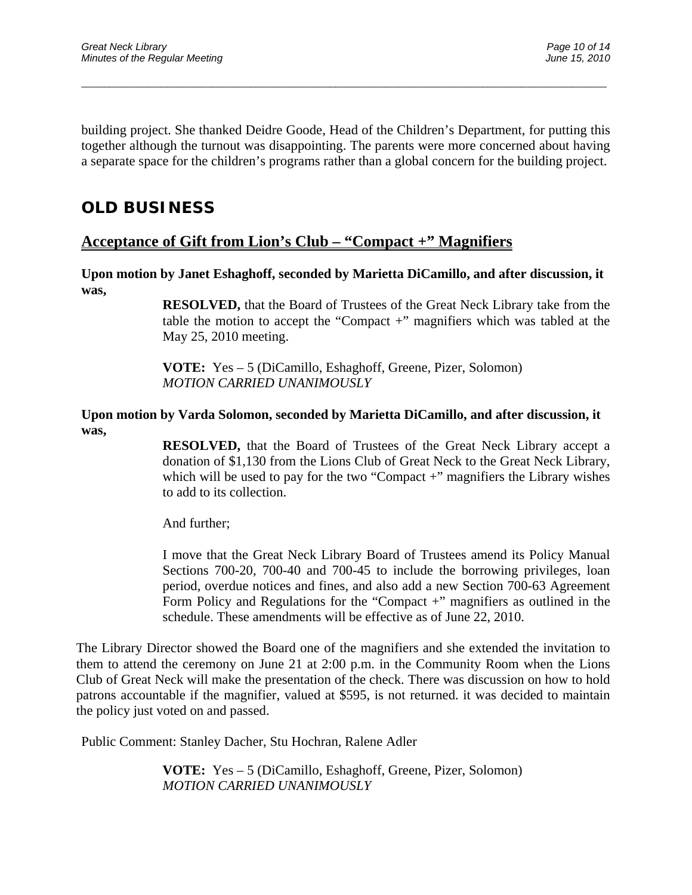building project. She thanked Deidre Goode, Head of the Children's Department, for putting this together although the turnout was disappointing. The parents were more concerned about having a separate space for the children's programs rather than a global concern for the building project.

 $\overline{a}$  , and the contribution of the contribution of the contribution of the contribution of the contribution of the contribution of the contribution of the contribution of the contribution of the contribution of the co

# **OLD BUSINESS**

## **Acceptance of Gift from Lion's Club – "Compact +" Magnifiers**

**Upon motion by Janet Eshaghoff, seconded by Marietta DiCamillo, and after discussion, it was,** 

> **RESOLVED,** that the Board of Trustees of the Great Neck Library take from the table the motion to accept the "Compact +" magnifiers which was tabled at the May 25, 2010 meeting.

**VOTE:** Yes – 5 (DiCamillo, Eshaghoff, Greene, Pizer, Solomon) *MOTION CARRIED UNANIMOUSLY* 

### **Upon motion by Varda Solomon, seconded by Marietta DiCamillo, and after discussion, it was,**

**RESOLVED,** that the Board of Trustees of the Great Neck Library accept a donation of \$1,130 from the Lions Club of Great Neck to the Great Neck Library, which will be used to pay for the two "Compact  $+$ " magnifiers the Library wishes to add to its collection.

And further;

I move that the Great Neck Library Board of Trustees amend its Policy Manual Sections 700-20, 700-40 and 700-45 to include the borrowing privileges, loan period, overdue notices and fines, and also add a new Section 700-63 Agreement Form Policy and Regulations for the "Compact +" magnifiers as outlined in the schedule. These amendments will be effective as of June 22, 2010.

The Library Director showed the Board one of the magnifiers and she extended the invitation to them to attend the ceremony on June 21 at 2:00 p.m. in the Community Room when the Lions Club of Great Neck will make the presentation of the check. There was discussion on how to hold patrons accountable if the magnifier, valued at \$595, is not returned. it was decided to maintain the policy just voted on and passed.

Public Comment: Stanley Dacher, Stu Hochran, Ralene Adler

**VOTE:** Yes – 5 (DiCamillo, Eshaghoff, Greene, Pizer, Solomon) *MOTION CARRIED UNANIMOUSLY*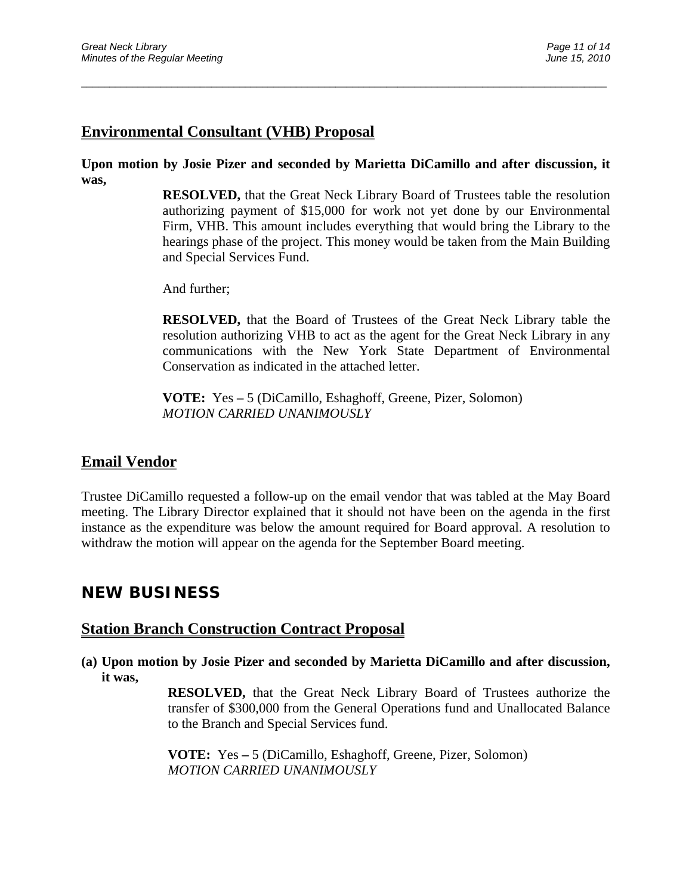## **Environmental Consultant (VHB) Proposal**

**Upon motion by Josie Pizer and seconded by Marietta DiCamillo and after discussion, it was,** 

 $\overline{a}$  , and the contribution of the contribution of the contribution of the contribution of the contribution of the contribution of the contribution of the contribution of the contribution of the contribution of the co

**RESOLVED,** that the Great Neck Library Board of Trustees table the resolution authorizing payment of \$15,000 for work not yet done by our Environmental Firm, VHB. This amount includes everything that would bring the Library to the hearings phase of the project. This money would be taken from the Main Building and Special Services Fund.

And further;

**RESOLVED,** that the Board of Trustees of the Great Neck Library table the resolution authorizing VHB to act as the agent for the Great Neck Library in any communications with the New York State Department of Environmental Conservation as indicated in the attached letter.

 **VOTE:** Yes **–** 5 (DiCamillo, Eshaghoff, Greene, Pizer, Solomon) *MOTION CARRIED UNANIMOUSLY* 

### **Email Vendor**

Trustee DiCamillo requested a follow-up on the email vendor that was tabled at the May Board meeting. The Library Director explained that it should not have been on the agenda in the first instance as the expenditure was below the amount required for Board approval. A resolution to withdraw the motion will appear on the agenda for the September Board meeting.

# **NEW BUSINESS**

### **Station Branch Construction Contract Proposal**

**(a) Upon motion by Josie Pizer and seconded by Marietta DiCamillo and after discussion, it was,** 

> **RESOLVED,** that the Great Neck Library Board of Trustees authorize the transfer of \$300,000 from the General Operations fund and Unallocated Balance to the Branch and Special Services fund.

**VOTE:** Yes **–** 5 (DiCamillo, Eshaghoff, Greene, Pizer, Solomon) *MOTION CARRIED UNANIMOUSLY*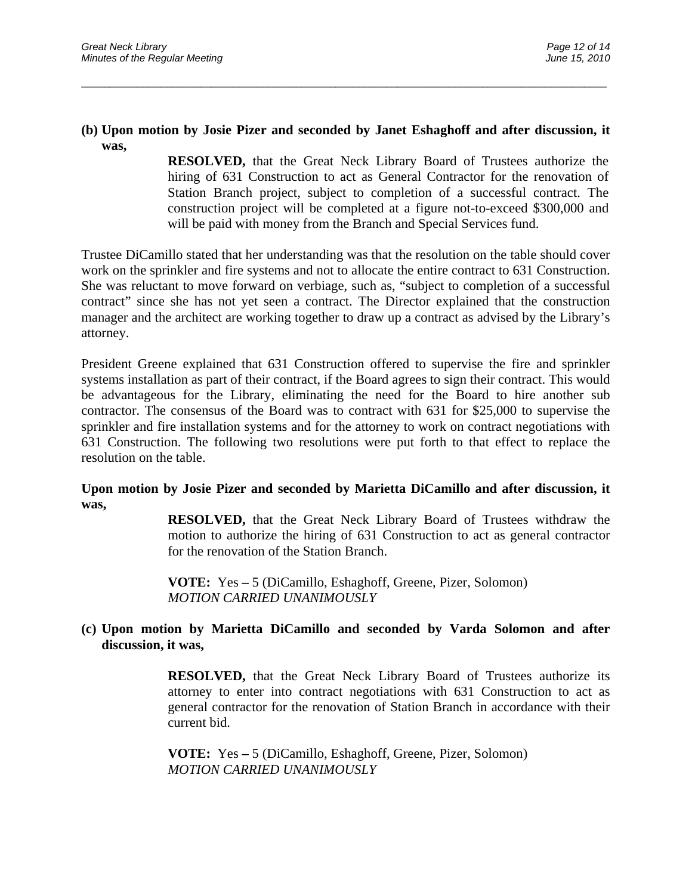### **(b) Upon motion by Josie Pizer and seconded by Janet Eshaghoff and after discussion, it was,**

 $\overline{a}$  , and the contribution of the contribution of the contribution of the contribution of the contribution of the contribution of the contribution of the contribution of the contribution of the contribution of the co

**RESOLVED,** that the Great Neck Library Board of Trustees authorize the hiring of 631 Construction to act as General Contractor for the renovation of Station Branch project, subject to completion of a successful contract. The construction project will be completed at a figure not-to-exceed \$300,000 and will be paid with money from the Branch and Special Services fund.

Trustee DiCamillo stated that her understanding was that the resolution on the table should cover work on the sprinkler and fire systems and not to allocate the entire contract to 631 Construction. She was reluctant to move forward on verbiage, such as, "subject to completion of a successful contract" since she has not yet seen a contract. The Director explained that the construction manager and the architect are working together to draw up a contract as advised by the Library's attorney.

President Greene explained that 631 Construction offered to supervise the fire and sprinkler systems installation as part of their contract, if the Board agrees to sign their contract. This would be advantageous for the Library, eliminating the need for the Board to hire another sub contractor. The consensus of the Board was to contract with 631 for \$25,000 to supervise the sprinkler and fire installation systems and for the attorney to work on contract negotiations with 631 Construction. The following two resolutions were put forth to that effect to replace the resolution on the table.

### **Upon motion by Josie Pizer and seconded by Marietta DiCamillo and after discussion, it was,**

**RESOLVED,** that the Great Neck Library Board of Trustees withdraw the motion to authorize the hiring of 631 Construction to act as general contractor for the renovation of the Station Branch.

**VOTE:** Yes **–** 5 (DiCamillo, Eshaghoff, Greene, Pizer, Solomon) *MOTION CARRIED UNANIMOUSLY*

### **(c) Upon motion by Marietta DiCamillo and seconded by Varda Solomon and after discussion, it was,**

**RESOLVED,** that the Great Neck Library Board of Trustees authorize its attorney to enter into contract negotiations with 631 Construction to act as general contractor for the renovation of Station Branch in accordance with their current bid.

**VOTE:** Yes **–** 5 (DiCamillo, Eshaghoff, Greene, Pizer, Solomon) *MOTION CARRIED UNANIMOUSLY*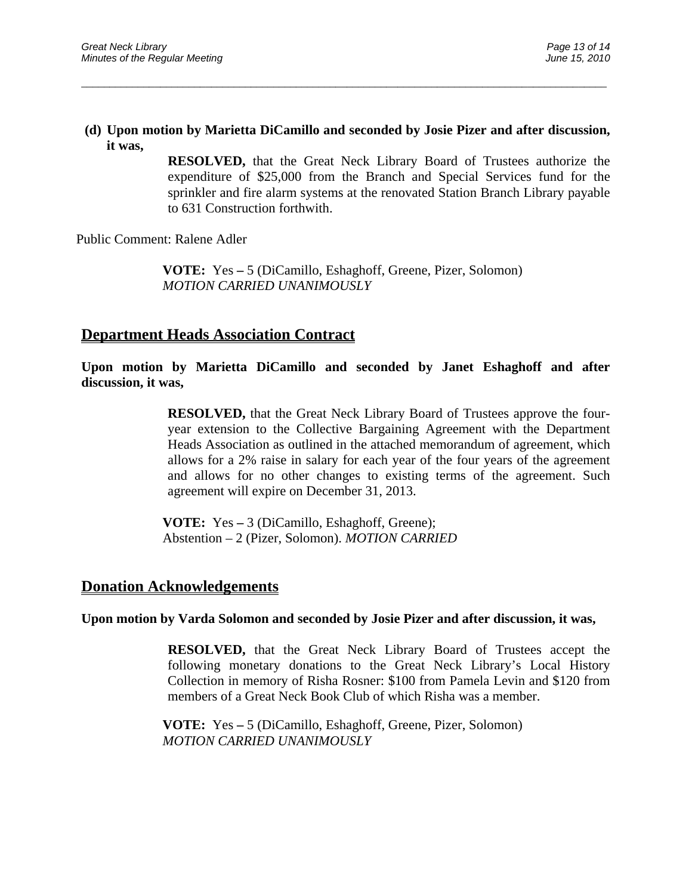### **(d) Upon motion by Marietta DiCamillo and seconded by Josie Pizer and after discussion, it was,**

 $\overline{a}$  , and the contribution of the contribution of the contribution of the contribution of the contribution of the contribution of the contribution of the contribution of the contribution of the contribution of the co

**RESOLVED,** that the Great Neck Library Board of Trustees authorize the expenditure of \$25,000 from the Branch and Special Services fund for the sprinkler and fire alarm systems at the renovated Station Branch Library payable to 631 Construction forthwith.

Public Comment: Ralene Adler

 **VOTE:** Yes **–** 5 (DiCamillo, Eshaghoff, Greene, Pizer, Solomon) *MOTION CARRIED UNANIMOUSLY* 

### **Department Heads Association Contract**

**Upon motion by Marietta DiCamillo and seconded by Janet Eshaghoff and after discussion, it was,** 

> **RESOLVED,** that the Great Neck Library Board of Trustees approve the fouryear extension to the Collective Bargaining Agreement with the Department Heads Association as outlined in the attached memorandum of agreement, which allows for a 2% raise in salary for each year of the four years of the agreement and allows for no other changes to existing terms of the agreement. Such agreement will expire on December 31, 2013.

 **VOTE:** Yes **–** 3 (DiCamillo, Eshaghoff, Greene); Abstention – 2 (Pizer, Solomon). *MOTION CARRIED* 

### **Donation Acknowledgements**

### **Upon motion by Varda Solomon and seconded by Josie Pizer and after discussion, it was,**

**RESOLVED,** that the Great Neck Library Board of Trustees accept the following monetary donations to the Great Neck Library's Local History Collection in memory of Risha Rosner: \$100 from Pamela Levin and \$120 from members of a Great Neck Book Club of which Risha was a member.

 **VOTE:** Yes **–** 5 (DiCamillo, Eshaghoff, Greene, Pizer, Solomon)  *MOTION CARRIED UNANIMOUSLY*